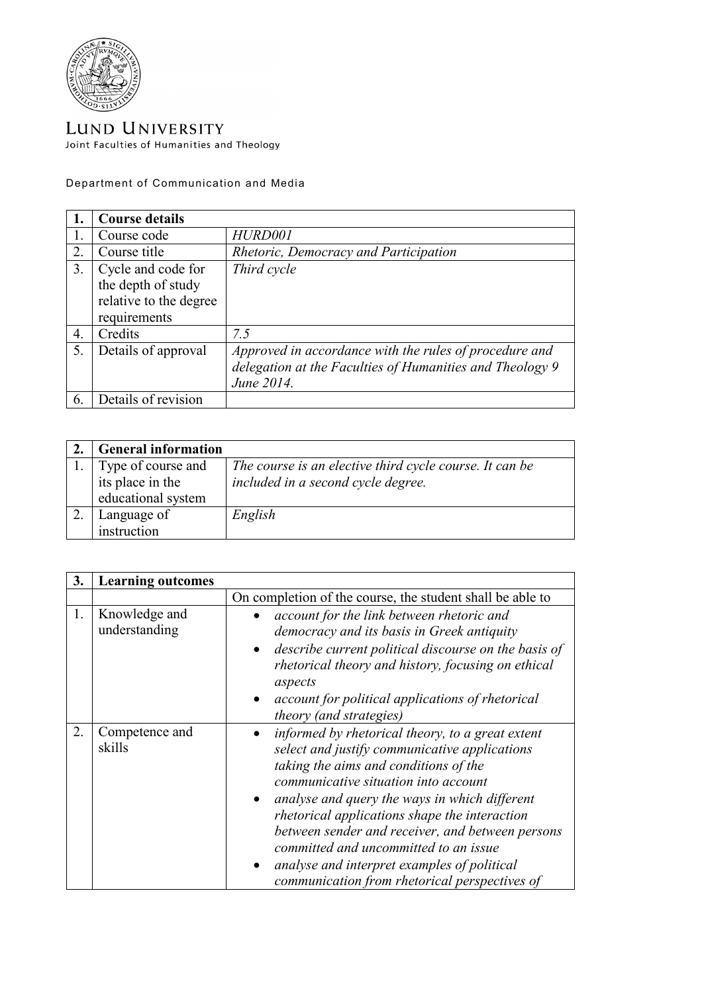

LUND UNIVERSITY Joint Faculties of Humanities and Theology

Department of Communication and Media

|    | <b>Course details</b>                                                              |                                                                                                                                  |
|----|------------------------------------------------------------------------------------|----------------------------------------------------------------------------------------------------------------------------------|
|    | Course code                                                                        | HURD001                                                                                                                          |
| 2. | Course title                                                                       | Rhetoric, Democracy and Participation                                                                                            |
| 3. | Cycle and code for<br>the depth of study<br>relative to the degree<br>requirements | Third cycle                                                                                                                      |
| 4. | Credits                                                                            | 7.5                                                                                                                              |
| 5. | Details of approval                                                                | Approved in accordance with the rules of procedure and<br>delegation at the Faculties of Humanities and Theology 9<br>June 2014. |
| 6. | Details of revision                                                                |                                                                                                                                  |

| <b>General information</b> |                                                         |
|----------------------------|---------------------------------------------------------|
| Type of course and         | The course is an elective third cycle course. It can be |
| its place in the           | included in a second cycle degree.                      |
| educational system         |                                                         |
| Language of                | English                                                 |
| instruction                |                                                         |

| 3. | <b>Learning outcomes</b>       |                                                                                                                                                                                                                                                                                                                                                                                                                                                                                   |
|----|--------------------------------|-----------------------------------------------------------------------------------------------------------------------------------------------------------------------------------------------------------------------------------------------------------------------------------------------------------------------------------------------------------------------------------------------------------------------------------------------------------------------------------|
|    |                                | On completion of the course, the student shall be able to                                                                                                                                                                                                                                                                                                                                                                                                                         |
| 1. | Knowledge and<br>understanding | account for the link between rhetoric and<br>democracy and its basis in Greek antiquity<br>describe current political discourse on the basis of<br>rhetorical theory and history, focusing on ethical<br>aspects<br>account for political applications of rhetorical<br><i>theory (and strategies)</i>                                                                                                                                                                            |
| 2. | Competence and<br>skills       | informed by rhetorical theory, to a great extent<br>select and justify communicative applications<br>taking the aims and conditions of the<br>communicative situation into account<br>analyse and query the ways in which different<br>rhetorical applications shape the interaction<br>between sender and receiver, and between persons<br>committed and uncommitted to an issue<br>analyse and interpret examples of political<br>communication from rhetorical perspectives of |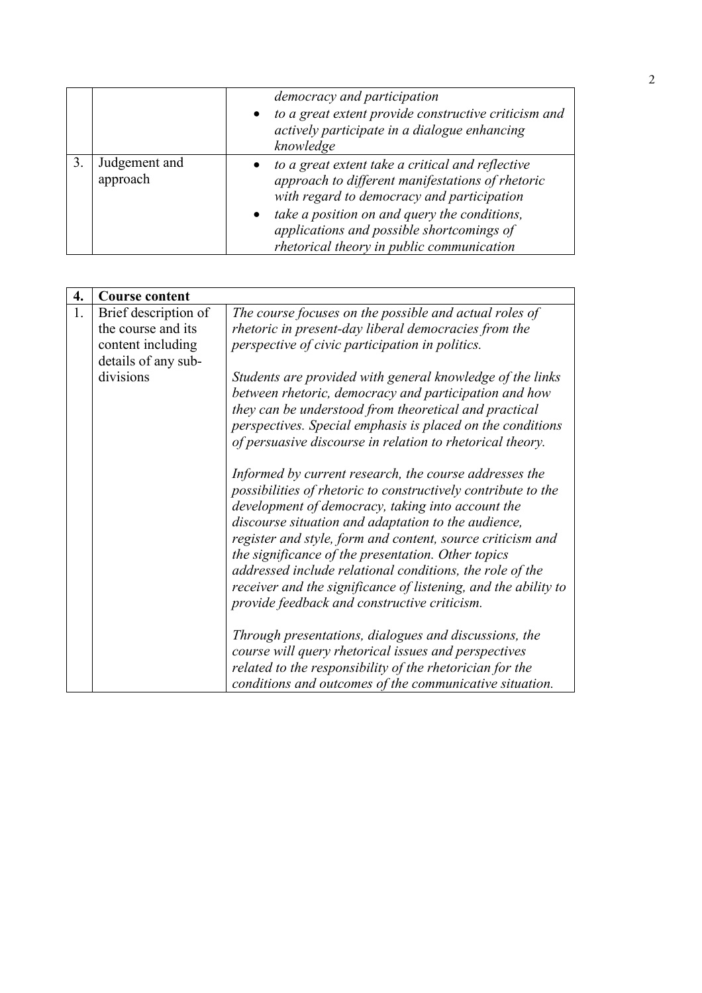|                           | democracy and participation                                                                                                                                                                                                                                                                  |  |
|---------------------------|----------------------------------------------------------------------------------------------------------------------------------------------------------------------------------------------------------------------------------------------------------------------------------------------|--|
|                           | to a great extent provide constructive criticism and<br>actively participate in a dialogue enhancing<br>knowledge                                                                                                                                                                            |  |
| Judgement and<br>approach | to a great extent take a critical and reflective<br>approach to different manifestations of rhetoric<br>with regard to democracy and participation<br>take a position on and query the conditions,<br>applications and possible shortcomings of<br>rhetorical theory in public communication |  |

| 4. | <b>Course content</b> |                                                                                                                                                                                                                                                                                                                                                                                                                                                                                                                                                                                                                                                                                                                                                                                                                                                 |
|----|-----------------------|-------------------------------------------------------------------------------------------------------------------------------------------------------------------------------------------------------------------------------------------------------------------------------------------------------------------------------------------------------------------------------------------------------------------------------------------------------------------------------------------------------------------------------------------------------------------------------------------------------------------------------------------------------------------------------------------------------------------------------------------------------------------------------------------------------------------------------------------------|
| 1. | Brief description of  | The course focuses on the possible and actual roles of                                                                                                                                                                                                                                                                                                                                                                                                                                                                                                                                                                                                                                                                                                                                                                                          |
|    | the course and its    | rhetoric in present-day liberal democracies from the                                                                                                                                                                                                                                                                                                                                                                                                                                                                                                                                                                                                                                                                                                                                                                                            |
|    | content including     | perspective of civic participation in politics.                                                                                                                                                                                                                                                                                                                                                                                                                                                                                                                                                                                                                                                                                                                                                                                                 |
|    | details of any sub-   |                                                                                                                                                                                                                                                                                                                                                                                                                                                                                                                                                                                                                                                                                                                                                                                                                                                 |
|    | divisions             | Students are provided with general knowledge of the links<br>between rhetoric, democracy and participation and how<br>they can be understood from theoretical and practical<br>perspectives. Special emphasis is placed on the conditions<br>of persuasive discourse in relation to rhetorical theory.<br>Informed by current research, the course addresses the<br>possibilities of rhetoric to constructively contribute to the<br>development of democracy, taking into account the<br>discourse situation and adaptation to the audience,<br>register and style, form and content, source criticism and<br>the significance of the presentation. Other topics<br>addressed include relational conditions, the role of the<br>receiver and the significance of listening, and the ability to<br>provide feedback and constructive criticism. |
|    |                       | Through presentations, dialogues and discussions, the<br>course will query rhetorical issues and perspectives<br>related to the responsibility of the rhetorician for the<br>conditions and outcomes of the communicative situation.                                                                                                                                                                                                                                                                                                                                                                                                                                                                                                                                                                                                            |